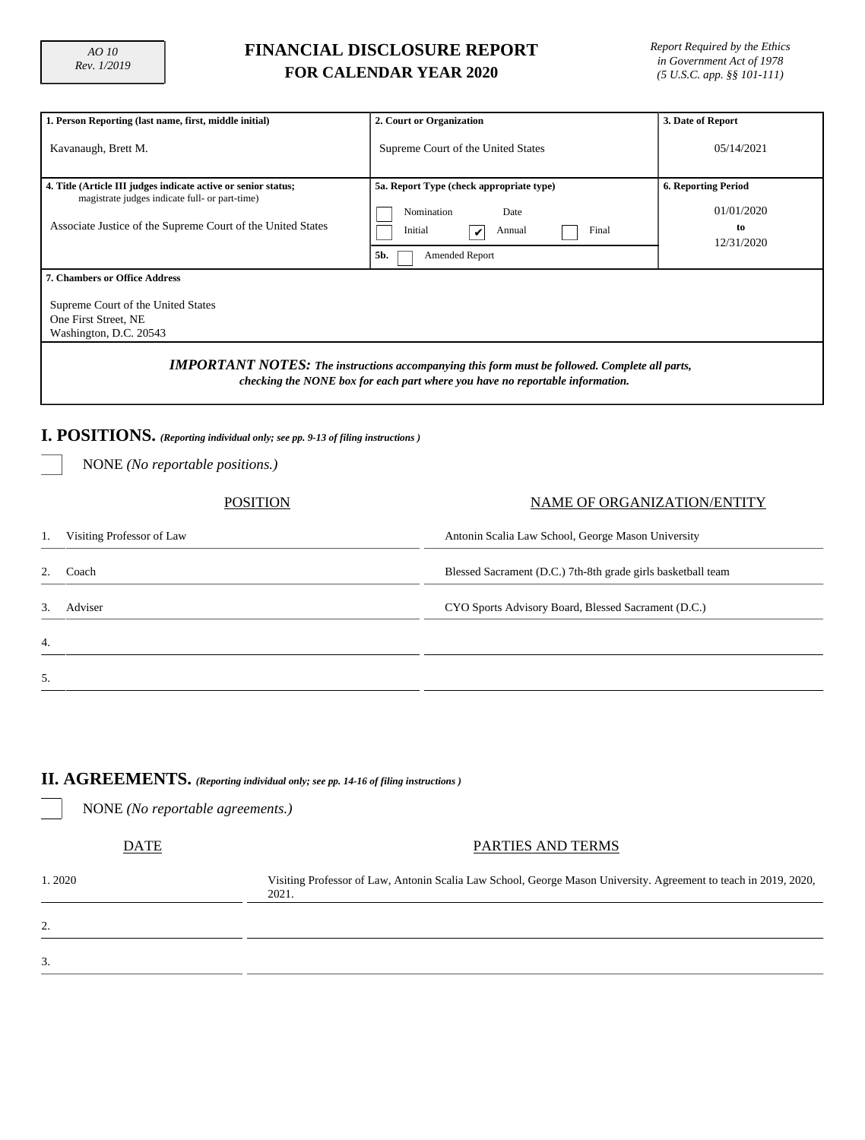# **FINANCIAL DISCLOSURE REPORT FOR CALENDAR YEAR 2020**

*Report Required by the Ethics in Government Act of 1978 (5 U.S.C. app. §§ 101-111)*

| 1. Person Reporting (last name, first, middle initial)                                                                                                                                 | 2. Court or Organization                                                                                                     | 3. Date of Report                                            |  |  |  |  |  |  |
|----------------------------------------------------------------------------------------------------------------------------------------------------------------------------------------|------------------------------------------------------------------------------------------------------------------------------|--------------------------------------------------------------|--|--|--|--|--|--|
| Kavanaugh, Brett M.                                                                                                                                                                    | Supreme Court of the United States                                                                                           |                                                              |  |  |  |  |  |  |
| 4. Title (Article III judges indicate active or senior status;<br>magistrate judges indicate full- or part-time)<br>Associate Justice of the Supreme Court of the United States        | 5a. Report Type (check appropriate type)<br>Nomination<br>Date<br>Final<br>Initial<br>Annual<br>5b.<br><b>Amended Report</b> | <b>6. Reporting Period</b><br>01/01/2020<br>to<br>12/31/2020 |  |  |  |  |  |  |
| <b>7. Chambers or Office Address</b><br>Supreme Court of the United States<br>One First Street, NE<br>Washington, D.C. 20543                                                           |                                                                                                                              |                                                              |  |  |  |  |  |  |
| <b>IMPORTANT NOTES:</b> The instructions accompanying this form must be followed. Complete all parts,<br>checking the NONE box for each part where you have no reportable information. |                                                                                                                              |                                                              |  |  |  |  |  |  |
| I. POSITIONS. (Reporting individual only; see pp. 9-13 of filing instructions)<br>NONE ( <i>No reportable positions.</i> )                                                             |                                                                                                                              |                                                              |  |  |  |  |  |  |
| POSITION                                                                                                                                                                               |                                                                                                                              | NAME OF ORGANIZATION/ENTITY                                  |  |  |  |  |  |  |

| 1. | Visiting Professor of Law | Antonin Scalia Law School, George Mason University           |
|----|---------------------------|--------------------------------------------------------------|
|    | Coach                     | Blessed Sacrament (D.C.) 7th-8th grade girls basketball team |
| 3. | Adviser                   | CYO Sports Advisory Board, Blessed Sacrament (D.C.)          |
| 4. |                           |                                                              |
| 5. |                           |                                                              |

### **II. AGREEMENTS.** *(Reporting individual only; see pp. 14-16 of filing instructions )*

NONE *(No reportable agreements.)*

| <b>DATE</b> | PARTIES AND TERMS                                                                                                         |
|-------------|---------------------------------------------------------------------------------------------------------------------------|
| 1.2020      | Visiting Professor of Law, Antonin Scalia Law School, George Mason University. Agreement to teach in 2019, 2020,<br>2021. |
| 2.          |                                                                                                                           |
| 3.          |                                                                                                                           |
|             |                                                                                                                           |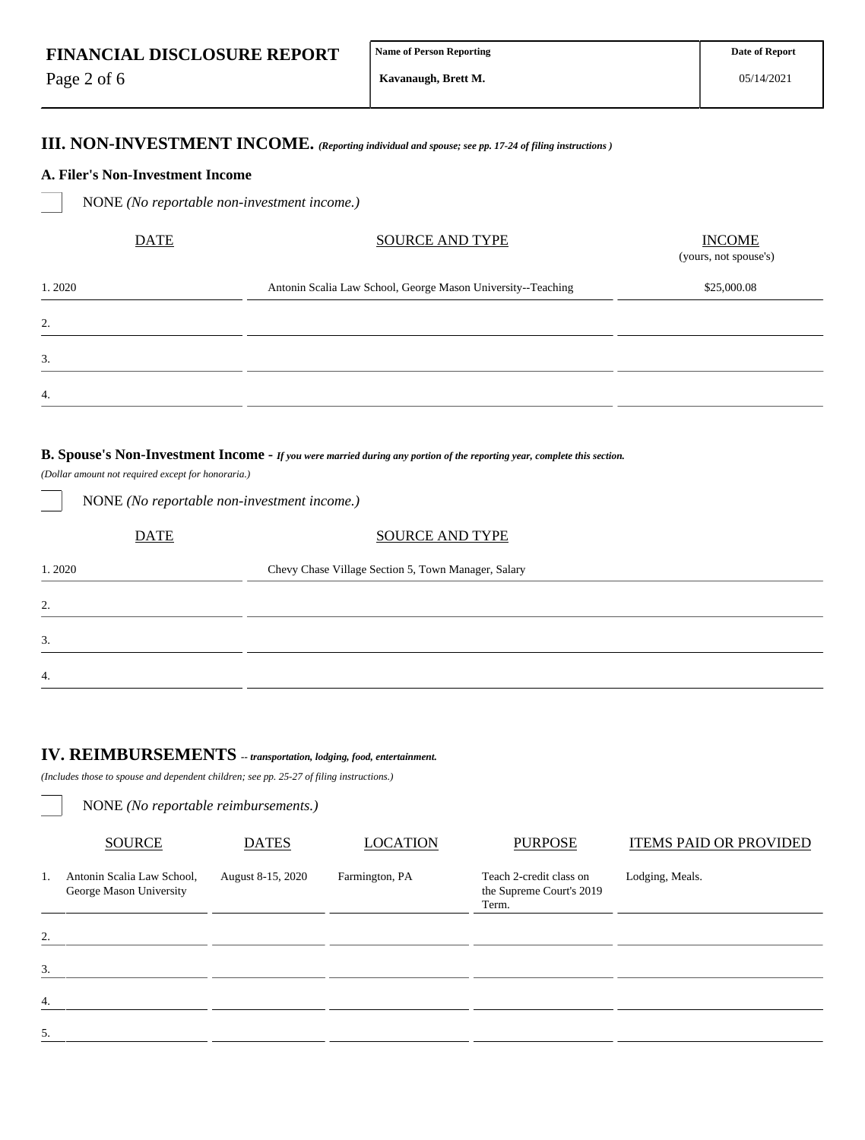Page 2 of 6

**III. NON-INVESTMENT INCOME.** *(Reporting individual and spouse; see pp. 17-24 of filing instructions )*

#### **A. Filer's Non-Investment Income**

NONE *(No reportable non-investment income.)*

| <b>DATE</b> | <b>SOURCE AND TYPE</b>                                       | <b>INCOME</b><br>(yours, not spouse's) |  |  |
|-------------|--------------------------------------------------------------|----------------------------------------|--|--|
| 1.2020      | Antonin Scalia Law School, George Mason University--Teaching | \$25,000.08                            |  |  |
| 2.          |                                                              |                                        |  |  |
| 3.          |                                                              |                                        |  |  |
| 4.          |                                                              |                                        |  |  |

### **B. Spouse's Non-Investment Income -** *If you were married during any portion of the reporting year, complete this section.*

*(Dollar amount not required except for honoraria.)*

| NONE (No reportable non-investment income.) |                                                     |  |  |  |  |  |  |
|---------------------------------------------|-----------------------------------------------------|--|--|--|--|--|--|
| <b>DATE</b>                                 | <b>SOURCE AND TYPE</b>                              |  |  |  |  |  |  |
| 1.2020                                      | Chevy Chase Village Section 5, Town Manager, Salary |  |  |  |  |  |  |
| 2.                                          |                                                     |  |  |  |  |  |  |
| 3.                                          |                                                     |  |  |  |  |  |  |
| $\overline{4}$ .                            |                                                     |  |  |  |  |  |  |

# **IV. REIMBURSEMENTS** *-- transportation, lodging, food, entertainment.*

*(Includes those to spouse and dependent children; see pp. 25-27 of filing instructions.)*

NONE *(No reportable reimbursements.)*

|    | <b>SOURCE</b><br><b>DATES</b>                         |                   | <b>LOCATION</b> | <b>PURPOSE</b>                                               | <b>ITEMS PAID OR PROVIDED</b> |  |  |  |
|----|-------------------------------------------------------|-------------------|-----------------|--------------------------------------------------------------|-------------------------------|--|--|--|
| 1. | Antonin Scalia Law School,<br>George Mason University | August 8-15, 2020 | Farmington, PA  | Teach 2-credit class on<br>the Supreme Court's 2019<br>Term. | Lodging, Meals.               |  |  |  |
| 2. |                                                       |                   |                 |                                                              |                               |  |  |  |
| 3. |                                                       |                   |                 |                                                              |                               |  |  |  |
| 4. |                                                       |                   |                 |                                                              |                               |  |  |  |
| 5. |                                                       |                   |                 |                                                              |                               |  |  |  |
|    |                                                       |                   |                 |                                                              |                               |  |  |  |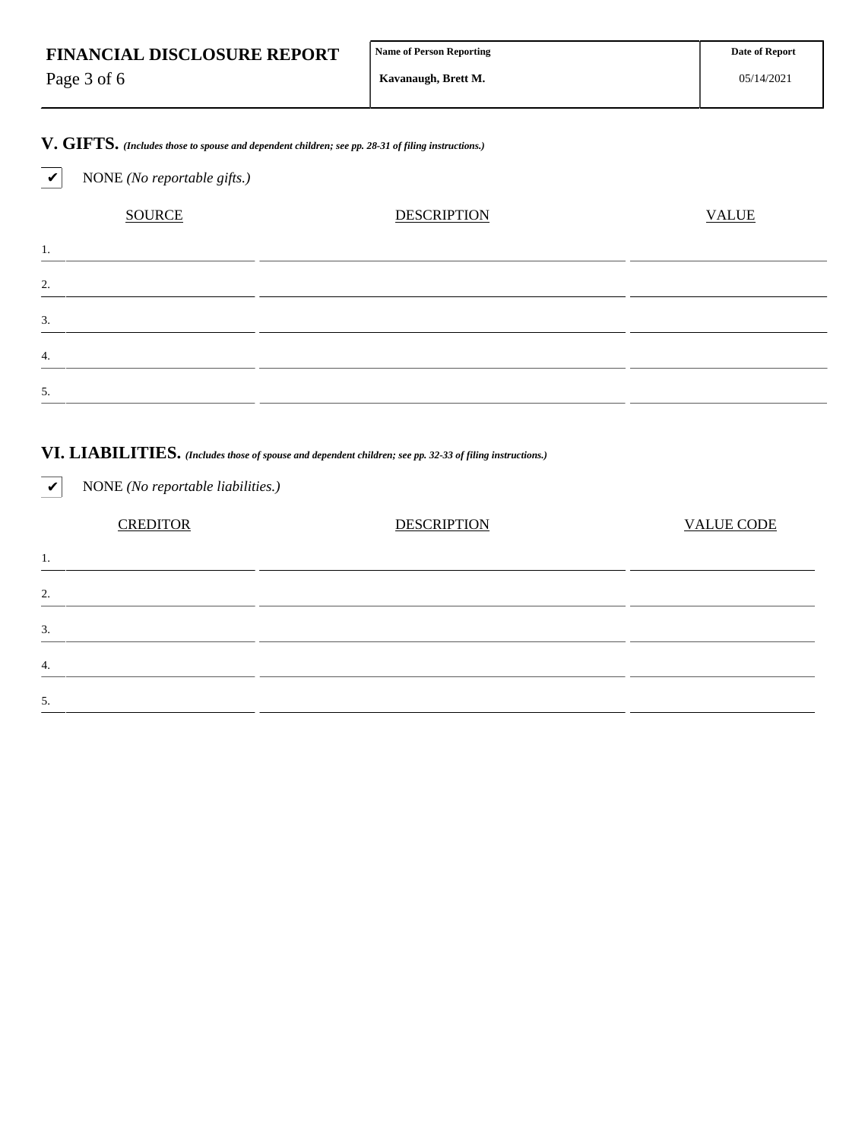| <b>FINANCIAL DISCLOSURE REPORT</b> | Name of Person Reporting | <b>Date of Report</b> |
|------------------------------------|--------------------------|-----------------------|
| Page 3 of 6                        | Kavanaugh, Brett M.      | 05/14/2021            |

# **V. GIFTS.** *(Includes those to spouse and dependent children; see pp. 28-31 of filing instructions.)*

✔ NONE *(No reportable gifts.)*

# SOURCE DESCRIPTION DESCRIPTION VALUE 1. 2. 3. 4. 5.

### **VI. LIABILITIES.** *(Includes those of spouse and dependent children; see pp. 32-33 of filing instructions.)*

| <b>CREDITOR</b> | <b>DESCRIPTION</b> | <b>VALUE CODE</b>                 |
|-----------------|--------------------|-----------------------------------|
|                 |                    |                                   |
|                 |                    |                                   |
|                 |                    |                                   |
|                 |                    |                                   |
|                 |                    |                                   |
|                 |                    | NONE (No reportable liabilities.) |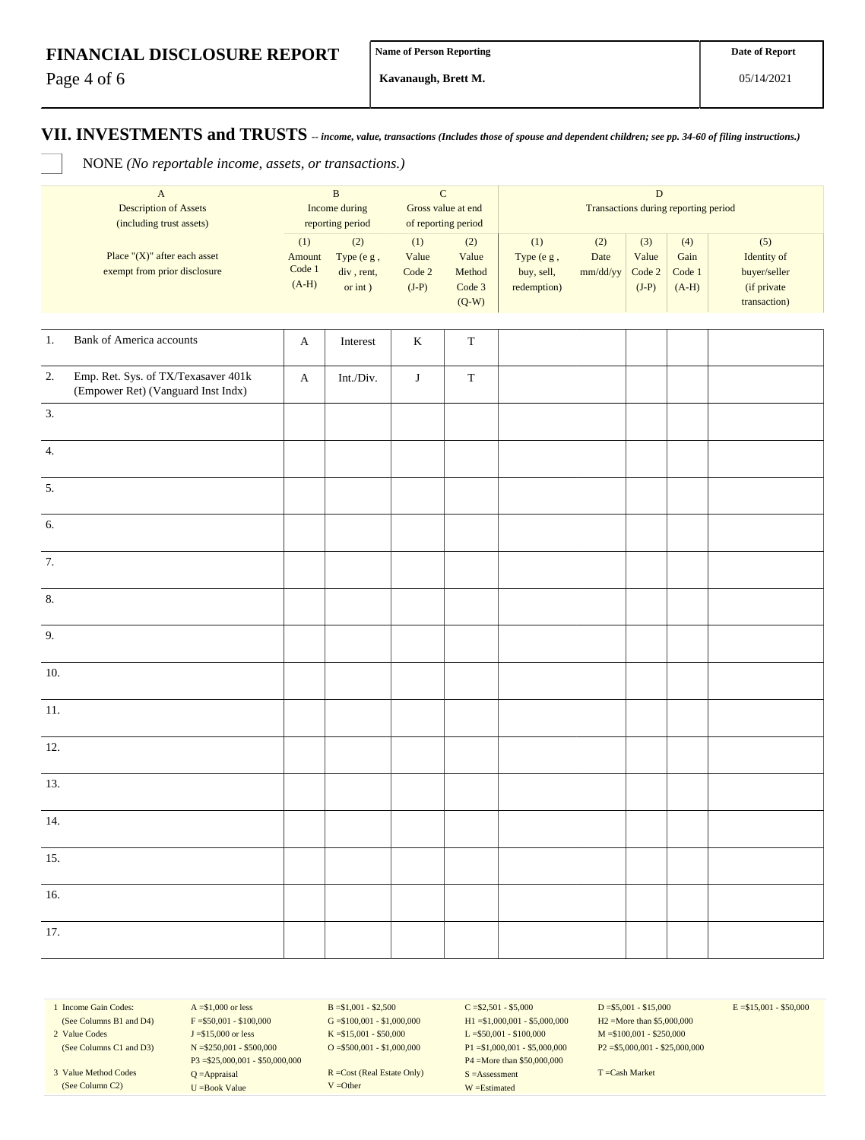Page 4 of 6

**Kavanaugh, Brett M.**

### **VII. INVESTMENTS and TRUSTS** *-- income, value, transactions (Includes those of spouse and dependent children; see pp. 34-60 of filing instructions.)*

NONE *(No reportable income, assets, or transactions.)*

|                  | $\mathbf A$<br><b>Description of Assets</b><br>(including trust assets)   | $\, {\bf B}$<br>Income during<br>reporting period |                                               | ${\bf C}$<br>Gross value at end<br>of reporting period |                                             | $\mathbf D$<br>Transactions during reporting period |                         |                                               |                                  |                                                                   |
|------------------|---------------------------------------------------------------------------|---------------------------------------------------|-----------------------------------------------|--------------------------------------------------------|---------------------------------------------|-----------------------------------------------------|-------------------------|-----------------------------------------------|----------------------------------|-------------------------------------------------------------------|
|                  | Place "(X)" after each asset<br>exempt from prior disclosure              | (1)<br>Amount<br>$\mbox{Code}~1$<br>$(A-H)$       | (2)<br>Type (e g,<br>div, rent,<br>or $int$ ) | (1)<br>Value<br>Code 2<br>$(J-P)$                      | (2)<br>Value<br>Method<br>Code 3<br>$(Q-W)$ | (1)<br>Type (e g,<br>buy, sell,<br>redemption)      | (2)<br>Date<br>mm/dd/yy | (3)<br>Value<br>$\mathbf{Code}\ 2$<br>$(J-P)$ | (4)<br>Gain<br>Code 1<br>$(A-H)$ | (5)<br>Identity of<br>buyer/seller<br>(if private<br>transaction) |
| $1. \,$          | <b>Bank of America accounts</b>                                           | $\mathbf{A}$                                      | Interest                                      | $\bf K$                                                | $\mathbf T$                                 |                                                     |                         |                                               |                                  |                                                                   |
| 2.               | Emp. Ret. Sys. of TX/Texasaver 401k<br>(Empower Ret) (Vanguard Inst Indx) | $\boldsymbol{\rm{A}}$                             | Int./Div.                                     | $\bf J$                                                | $\mathbf T$                                 |                                                     |                         |                                               |                                  |                                                                   |
| 3.               |                                                                           |                                                   |                                               |                                                        |                                             |                                                     |                         |                                               |                                  |                                                                   |
| $\overline{4}$ . |                                                                           |                                                   |                                               |                                                        |                                             |                                                     |                         |                                               |                                  |                                                                   |
| 5.               |                                                                           |                                                   |                                               |                                                        |                                             |                                                     |                         |                                               |                                  |                                                                   |
| 6.               |                                                                           |                                                   |                                               |                                                        |                                             |                                                     |                         |                                               |                                  |                                                                   |
| 7.               |                                                                           |                                                   |                                               |                                                        |                                             |                                                     |                         |                                               |                                  |                                                                   |
| 8.               |                                                                           |                                                   |                                               |                                                        |                                             |                                                     |                         |                                               |                                  |                                                                   |
| 9.               |                                                                           |                                                   |                                               |                                                        |                                             |                                                     |                         |                                               |                                  |                                                                   |
| 10.              |                                                                           |                                                   |                                               |                                                        |                                             |                                                     |                         |                                               |                                  |                                                                   |
| $11. \,$         |                                                                           |                                                   |                                               |                                                        |                                             |                                                     |                         |                                               |                                  |                                                                   |
| 12.              |                                                                           |                                                   |                                               |                                                        |                                             |                                                     |                         |                                               |                                  |                                                                   |
| 13.              |                                                                           |                                                   |                                               |                                                        |                                             |                                                     |                         |                                               |                                  |                                                                   |
| 14.              |                                                                           |                                                   |                                               |                                                        |                                             |                                                     |                         |                                               |                                  |                                                                   |
| 15.              |                                                                           |                                                   |                                               |                                                        |                                             |                                                     |                         |                                               |                                  |                                                                   |
| 16.              |                                                                           |                                                   |                                               |                                                        |                                             |                                                     |                         |                                               |                                  |                                                                   |
| 17.              |                                                                           |                                                   |                                               |                                                        |                                             |                                                     |                         |                                               |                                  |                                                                   |

1 Income Gain Codes: (See Columns B1 and D4) 2 Value Codes

(See Columns C1 and D3)

3 Value Method Codes (See Column C2)

 $A = $1,000$  or less  $F = $50,001 - $100,000$ J =\$15,000 or less N =\$250,001 - \$500,000 P3 =\$25,000,001 - \$50,000,000 Q =Appraisal U =Book Value

 $B = $1,001 - $2,500$  $G = $100,001 - $1,000,000$ K =\$15,001 - \$50,000 O =  $$500,001 - $1,000,000$ 

R =Cost (Real Estate Only) V =Other

 $C = $2,501 - $5,000$ H1 =\$1,000,001 - \$5,000,000 L =\$50,001 - \$100,000 P1 =\$1,000,001 - \$5,000,000 P4 =More than \$50,000,000 S =Assessment W =Estimated

 $D = $5,001 - $15,000$ H2 =More than \$5,000,000 M =\$100,001 - \$250,000 P2 =\$5,000,001 - \$25,000,000  $E = $15,001 - $50,000$ 

T =Cash Market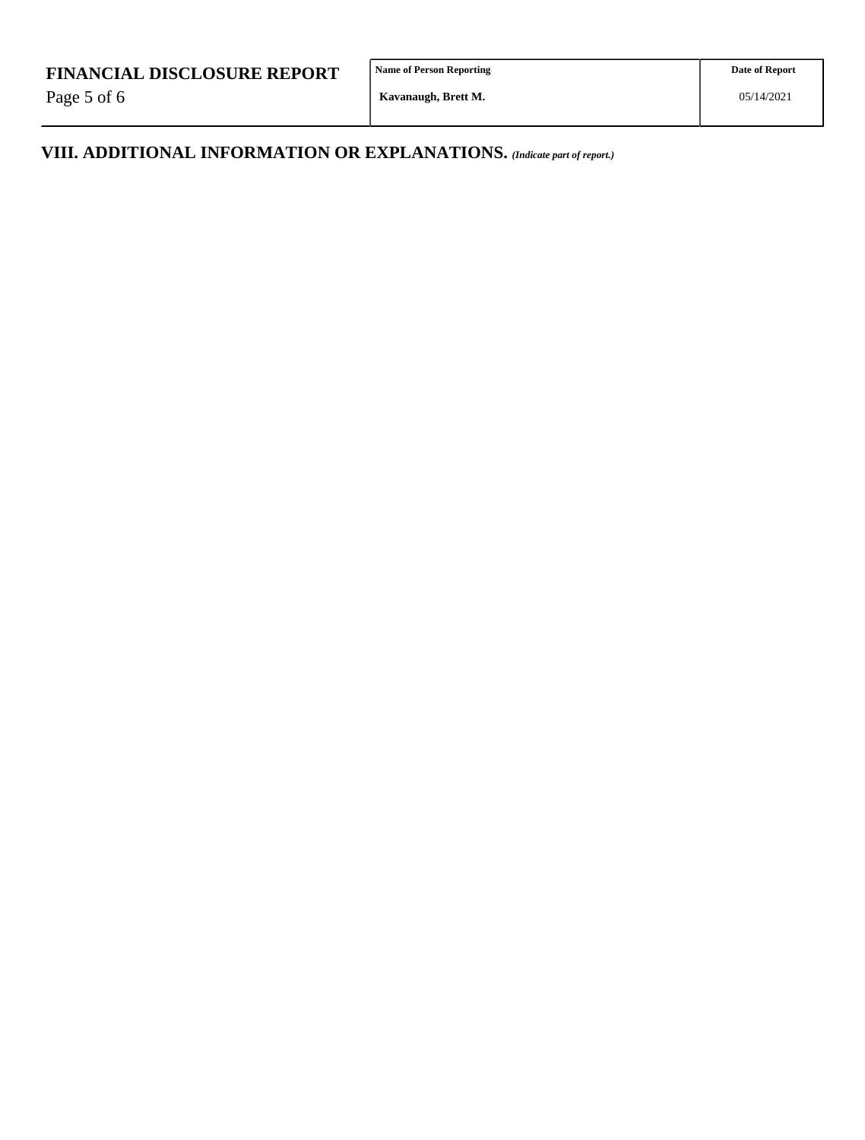Page 5 of 6

**Name of Person Reporting**

**VIII. ADDITIONAL INFORMATION OR EXPLANATIONS.** *(Indicate part of report.)*